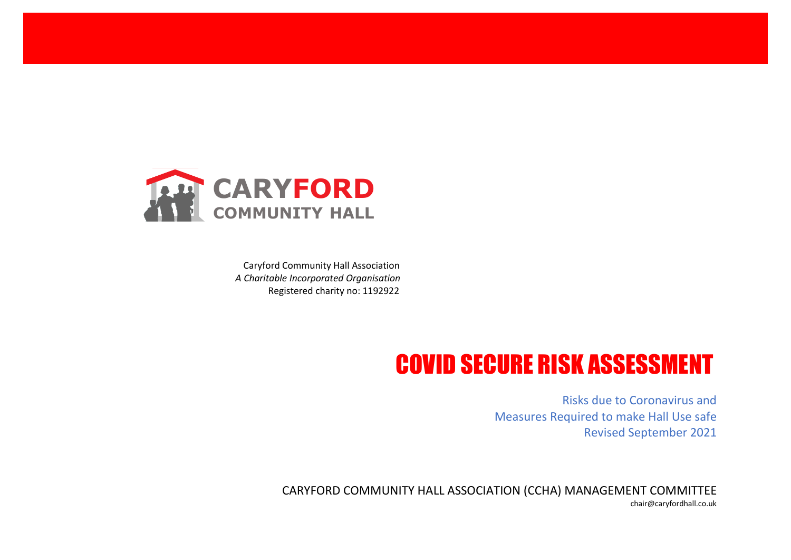

Caryford Community Hall Association *A Charitable Incorporated Organisation* Registered charity no: 1192922

## COVID SECURE RISK ASSESSMENT

Risks due to Coronavirus and Measures Required to make Hall Use safe Revised September 2021

CARYFORD COMMUNITY HALL ASSOCIATION (CCHA) MANAGEMENT COMMITTEE chair@caryfordhall.co.uk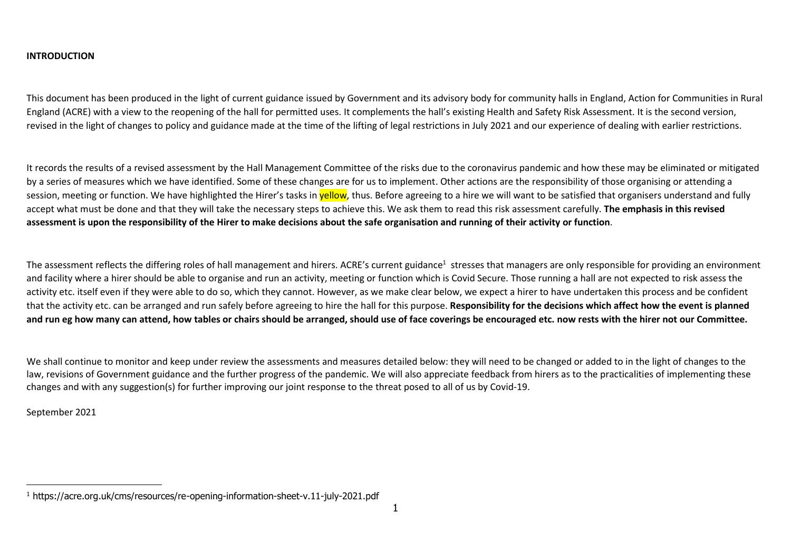## **INTRODUCTION**

This document has been produced in the light of current guidance issued by Government and its advisory body for community halls in England, Action for Communities in Rural England (ACRE) with a view to the reopening of the hall for permitted uses. It complements the hall's existing Health and Safety Risk Assessment. It is the second version, revised in the light of changes to policy and guidance made at the time of the lifting of legal restrictions in July 2021 and our experience of dealing with earlier restrictions.

It records the results of a revised assessment by the Hall Management Committee of the risks due to the coronavirus pandemic and how these may be eliminated or mitigated by a series of measures which we have identified. Some of these changes are for us to implement. Other actions are the responsibility of those organising or attending a session, meeting or function. We have highlighted the Hirer's tasks in **yellow**, thus. Before agreeing to a hire we will want to be satisfied that organisers understand and fully accept what must be done and that they will take the necessary steps to achieve this. We ask them to read this risk assessment carefully. **The emphasis in this revised assessment is upon the responsibility of the Hirer to make decisions about the safe organisation and running of their activity or function**.

The assessment reflects the differing roles of hall management and hirers. ACRE's current guidance<sup>1</sup> stresses that managers are only responsible for providing an environment and facility where a hirer should be able to organise and run an activity, meeting or function which is Covid Secure. Those running a hall are not expected to risk assess the activity etc. itself even if they were able to do so, which they cannot. However, as we make clear below, we expect a hirer to have undertaken this process and be confident that the activity etc. can be arranged and run safely before agreeing to hire the hall for this purpose. **Responsibility for the decisions which affect how the event is planned and run eg how many can attend, how tables or chairs should be arranged, should use of face coverings be encouraged etc. now rests with the hirer not our Committee.**

We shall continue to monitor and keep under review the assessments and measures detailed below: they will need to be changed or added to in the light of changes to the law, revisions of Government guidance and the further progress of the pandemic. We will also appreciate feedback from hirers as to the practicalities of implementing these changes and with any suggestion(s) for further improving our joint response to the threat posed to all of us by Covid-19.

September 2021

<sup>1</sup> https://acre.org.uk/cms/resources/re-opening-information-sheet-v.11-july-2021.pdf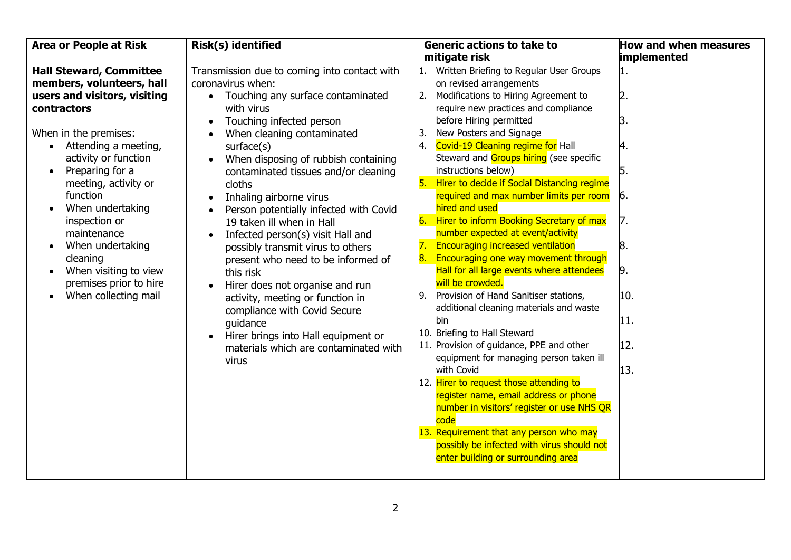| <b>Hall Steward, Committee</b><br>members, volunteers, hall<br>users and visitors, visiting                                                                                                                                                                                                                                                       | Transmission due to coming into contact with<br>coronavirus when:<br>Touching any surface contaminated                                                                                                                                                                                                                                                                                                                                                                                                                                                                                                                  | mitigate risk<br>Written Briefing to Regular User Groups<br>on revised arrangements                                                                                                                                                                                                                                                                                                                                                                                                                                                                                                                                                                                                                                                                                                                                                                                                                                                                                                                  | implemented<br>1.                                                        |
|---------------------------------------------------------------------------------------------------------------------------------------------------------------------------------------------------------------------------------------------------------------------------------------------------------------------------------------------------|-------------------------------------------------------------------------------------------------------------------------------------------------------------------------------------------------------------------------------------------------------------------------------------------------------------------------------------------------------------------------------------------------------------------------------------------------------------------------------------------------------------------------------------------------------------------------------------------------------------------------|------------------------------------------------------------------------------------------------------------------------------------------------------------------------------------------------------------------------------------------------------------------------------------------------------------------------------------------------------------------------------------------------------------------------------------------------------------------------------------------------------------------------------------------------------------------------------------------------------------------------------------------------------------------------------------------------------------------------------------------------------------------------------------------------------------------------------------------------------------------------------------------------------------------------------------------------------------------------------------------------------|--------------------------------------------------------------------------|
|                                                                                                                                                                                                                                                                                                                                                   |                                                                                                                                                                                                                                                                                                                                                                                                                                                                                                                                                                                                                         |                                                                                                                                                                                                                                                                                                                                                                                                                                                                                                                                                                                                                                                                                                                                                                                                                                                                                                                                                                                                      |                                                                          |
| contractors<br>When in the premises:<br>Attending a meeting,<br>activity or function<br>Preparing for a<br>$\bullet$<br>meeting, activity or<br>function<br>When undertaking<br>inspection or<br>maintenance<br>When undertaking<br>$\bullet$<br>cleaning<br>When visiting to view<br>$\bullet$<br>premises prior to hire<br>When collecting mail | with virus<br>Touching infected person<br>When cleaning contaminated<br>surface(s)<br>When disposing of rubbish containing<br>contaminated tissues and/or cleaning<br>cloths<br>Inhaling airborne virus<br>Person potentially infected with Covid<br>19 taken ill when in Hall<br>Infected person(s) visit Hall and<br>possibly transmit virus to others<br>present who need to be informed of<br>this risk<br>Hirer does not organise and run<br>activity, meeting or function in<br>compliance with Covid Secure<br>quidance<br>Hirer brings into Hall equipment or<br>materials which are contaminated with<br>virus | Modifications to Hiring Agreement to<br>2.<br>require new practices and compliance<br>before Hiring permitted<br>New Posters and Signage<br>Covid-19 Cleaning regime for Hall<br>4.<br>Steward and Groups hiring (see specific<br>instructions below)<br>Hirer to decide if Social Distancing regime<br>l5. I<br>required and max number limits per room<br>hired and used<br>Hirer to inform Booking Secretary of max<br>6.<br>number expected at event/activity<br><b>Encouraging increased ventilation</b><br>Encouraging one way movement through<br>8.<br>Hall for all large events where attendees<br>will be crowded.<br>Provision of Hand Sanitiser stations,<br>9.<br>additional cleaning materials and waste<br>bin<br>10. Briefing to Hall Steward<br>11. Provision of guidance, PPE and other<br>equipment for managing person taken ill<br>with Covid<br>12. Hirer to request those attending to<br>register name, email address or phone<br>number in visitors' register or use NHS QR | 2.<br>3.<br>4.<br>5.<br>6.<br>7.<br>8.<br>9.<br>10.<br>11.<br>12.<br>13. |
|                                                                                                                                                                                                                                                                                                                                                   |                                                                                                                                                                                                                                                                                                                                                                                                                                                                                                                                                                                                                         | code<br>13. Requirement that any person who may<br>possibly be infected with virus should not<br>enter building or surrounding area                                                                                                                                                                                                                                                                                                                                                                                                                                                                                                                                                                                                                                                                                                                                                                                                                                                                  |                                                                          |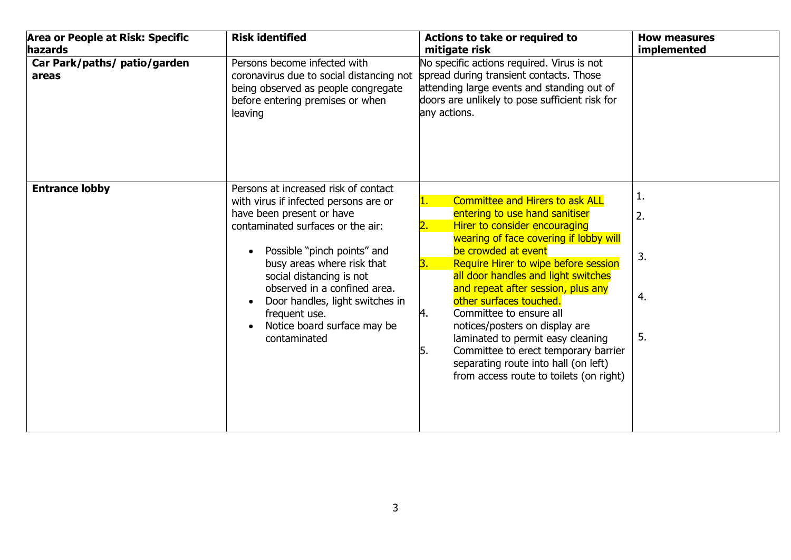| Area or People at Risk: Specific<br>hazards | <b>Risk identified</b>                                                                                                                                                                                                                                                                                                                                                      | Actions to take or required to<br>mitigate risk                                                                                                                                                                                                                                                                                                                                                                                                                                                                                                                                 | <b>How measures</b><br>implemented |
|---------------------------------------------|-----------------------------------------------------------------------------------------------------------------------------------------------------------------------------------------------------------------------------------------------------------------------------------------------------------------------------------------------------------------------------|---------------------------------------------------------------------------------------------------------------------------------------------------------------------------------------------------------------------------------------------------------------------------------------------------------------------------------------------------------------------------------------------------------------------------------------------------------------------------------------------------------------------------------------------------------------------------------|------------------------------------|
| Car Park/paths/ patio/garden<br>areas       | Persons become infected with<br>coronavirus due to social distancing not<br>being observed as people congregate<br>before entering premises or when<br>leaving                                                                                                                                                                                                              | No specific actions required. Virus is not<br>spread during transient contacts. Those<br>attending large events and standing out of<br>doors are unlikely to pose sufficient risk for<br>any actions.                                                                                                                                                                                                                                                                                                                                                                           |                                    |
| <b>Entrance lobby</b>                       | Persons at increased risk of contact<br>with virus if infected persons are or<br>have been present or have<br>contaminated surfaces or the air:<br>Possible "pinch points" and<br>busy areas where risk that<br>social distancing is not<br>observed in a confined area.<br>Door handles, light switches in<br>frequent use.<br>Notice board surface may be<br>contaminated | <b>Committee and Hirers to ask ALL</b><br>1.<br>entering to use hand sanitiser<br>Hirer to consider encouraging<br>wearing of face covering if lobby will<br>be crowded at event<br>Require Hirer to wipe before session<br>З.<br>all door handles and light switches<br>and repeat after session, plus any<br>other surfaces touched.<br>4.<br>Committee to ensure all<br>notices/posters on display are<br>laminated to permit easy cleaning<br>Committee to erect temporary barrier<br>5.<br>separating route into hall (on left)<br>from access route to toilets (on right) | 1.<br>2.<br>3.<br>4.<br>5.         |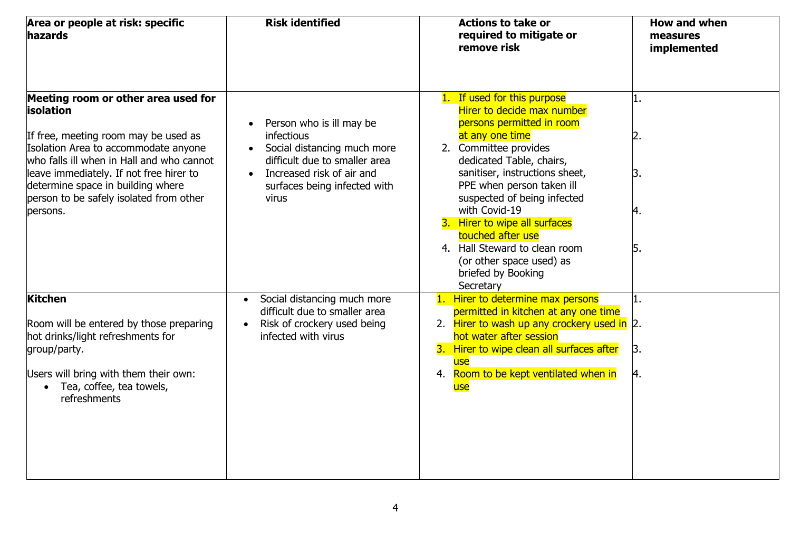| Area or people at risk: specific<br><b>hazards</b>                                                                                                                                                                                                                                                                          | <b>Risk identified</b>                                                                                                                                                                                        | <b>Actions to take or</b><br>required to mitigate or<br>remove risk                                                                                                                                                                                                                                                                                                                                                                 | How and when<br>measures<br>implemented |
|-----------------------------------------------------------------------------------------------------------------------------------------------------------------------------------------------------------------------------------------------------------------------------------------------------------------------------|---------------------------------------------------------------------------------------------------------------------------------------------------------------------------------------------------------------|-------------------------------------------------------------------------------------------------------------------------------------------------------------------------------------------------------------------------------------------------------------------------------------------------------------------------------------------------------------------------------------------------------------------------------------|-----------------------------------------|
| Meeting room or other area used for<br><b>isolation</b><br>If free, meeting room may be used as<br>Isolation Area to accommodate anyone<br>who falls ill when in Hall and who cannot<br>leave immediately. If not free hirer to<br>determine space in building where<br>person to be safely isolated from other<br>persons. | Person who is ill may be<br><i>infectious</i><br>Social distancing much more<br>$\bullet$<br>difficult due to smaller area<br>Increased risk of air and<br>$\bullet$<br>surfaces being infected with<br>virus | 1. If used for this purpose<br>Hirer to decide max number<br>persons permitted in room<br>at any one time<br>2. Committee provides<br>dedicated Table, chairs,<br>sanitiser, instructions sheet,<br>PPE when person taken ill<br>suspected of being infected<br>with Covid-19<br>3. Hirer to wipe all surfaces<br>touched after use<br>4. Hall Steward to clean room<br>(or other space used) as<br>briefed by Booking<br>Secretary | 2.<br>Β.<br>4.<br>15.                   |
| <b>Kitchen</b><br>Room will be entered by those preparing<br>hot drinks/light refreshments for<br>group/party.<br>Users will bring with them their own:<br>Tea, coffee, tea towels,<br>$\bullet$<br>refreshments                                                                                                            | Social distancing much more<br>$\bullet$<br>difficult due to smaller area<br>Risk of crockery used being<br>$\bullet$<br>infected with virus                                                                  | 1. Hirer to determine max persons<br>permitted in kitchen at any one time<br>2. Hirer to wash up any crockery used in 2.<br>hot water after session<br>3. Hirer to wipe clean all surfaces after<br>use<br>Room to be kept ventilated when in<br>4.<br>use                                                                                                                                                                          | 1.<br>Β.<br>4.                          |